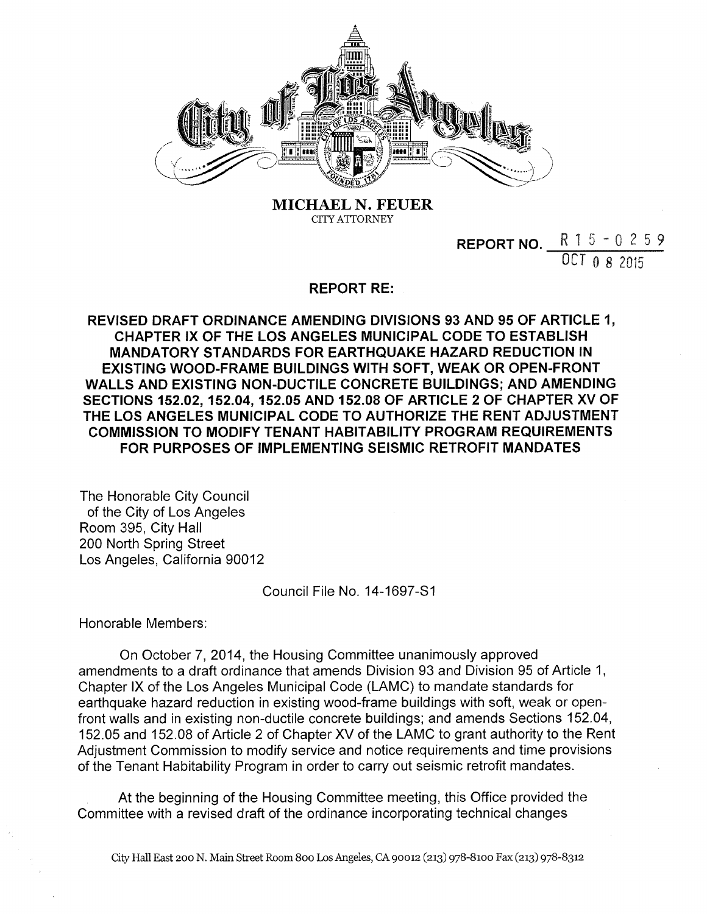

**MICHAEL N. FEUER CITY ATTORNEY**

> **REPORT NO.** R 1 5 - 0 2 5 9 OCT 0 *8* 2015

## **REPORT RE:**

**REVISED DRAFT ORDINANCE AMENDING DIVISIONS 93 AND 95 OF ARTICLE 1, CHAPTER IX OF THE LOS ANGELES MUNICIPAL CODE TO ESTABLISH MANDATORY STANDARDS FOR EARTHQUAKE HAZARD REDUCTION IN EXISTING WOOD-FRAME BUILDINGS WITH SOFT, WEAK OR OPEN-FRONT WALLS AND EXISTING NON-DUCTILE CONCRETE BUILDINGS; AND AMENDING SECTIONS 152.02, 152.04, 152.05 AND 152.08 OF ARTICLE 2 OF CHAPTER XV OF THE LOS ANGELES MUNICIPAL CODE TO AUTHORIZE THE RENT ADJUSTMENT COMMISSION TO MODIFY TENANT HABITABILITY PROGRAM REQUIREMENTS FOR PURPOSES OF IMPLEMENTING SEISMIC RETROFIT MANDATES**

The Honorable City Council of the City of Los Angeles Room 395, City Hall 200 North Spring Street Los Angeles, California 90012

Council File No. 14-1697-S1

Honorable Members:

On October 7, 2014, the Housing Committee unanimously approved amendments to a draft ordinance that amends Division 93 and Division 95 of Article 1, Chapter IX of the Los Angeles Municipal Code (LAMC) to mandate standards for earthquake hazard reduction in existing wood-frame buildings with soft, weak or openfront walls and in existing non-ductile concrete buildings; and amends Sections 152.04, 152.05 and 152.08 of Article 2 of Chapter XV of the LAMC to grant authority to the Rent Adjustment Commission to modify service and notice requirements and time provisions of the Tenant Habitability Program in order to carry out seismic retrofit mandates.

At the beginning of the Housing Committee meeting, this Office provided the Committee with a revised draft of the ordinance incorporating technical changes